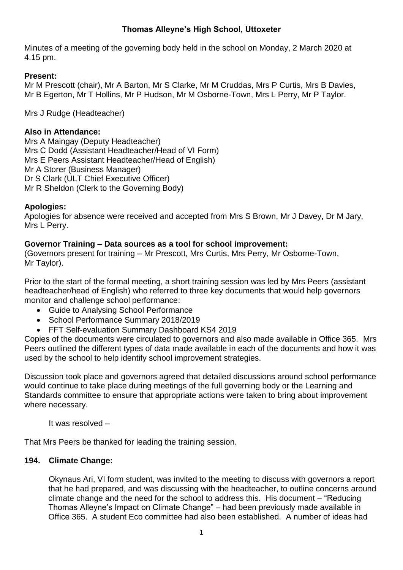## **Thomas Alleyne's High School, Uttoxeter**

Minutes of a meeting of the governing body held in the school on Monday, 2 March 2020 at 4.15 pm.

## **Present:**

Mr M Prescott (chair), Mr A Barton, Mr S Clarke, Mr M Cruddas, Mrs P Curtis, Mrs B Davies, Mr B Egerton, Mr T Hollins, Mr P Hudson, Mr M Osborne-Town, Mrs L Perry, Mr P Taylor.

Mrs J Rudge (Headteacher)

## **Also in Attendance:**

Mrs A Maingay (Deputy Headteacher) Mrs C Dodd (Assistant Headteacher/Head of VI Form) Mrs E Peers Assistant Headteacher/Head of English) Mr A Storer (Business Manager) Dr S Clark (ULT Chief Executive Officer) Mr R Sheldon (Clerk to the Governing Body)

## **Apologies:**

Apologies for absence were received and accepted from Mrs S Brown, Mr J Davey, Dr M Jary, Mrs L Perry.

## **Governor Training – Data sources as a tool for school improvement:**

(Governors present for training – Mr Prescott, Mrs Curtis, Mrs Perry, Mr Osborne-Town, Mr Taylor).

Prior to the start of the formal meeting, a short training session was led by Mrs Peers (assistant headteacher/head of English) who referred to three key documents that would help governors monitor and challenge school performance:

- Guide to Analysing School Performance
- School Performance Summary 2018/2019
- FFT Self-evaluation Summary Dashboard KS4 2019

Copies of the documents were circulated to governors and also made available in Office 365. Mrs Peers outlined the different types of data made available in each of the documents and how it was used by the school to help identify school improvement strategies.

Discussion took place and governors agreed that detailed discussions around school performance would continue to take place during meetings of the full governing body or the Learning and Standards committee to ensure that appropriate actions were taken to bring about improvement where necessary.

It was resolved –

That Mrs Peers be thanked for leading the training session.

## **194. Climate Change:**

Okynaus Ari, VI form student, was invited to the meeting to discuss with governors a report that he had prepared, and was discussing with the headteacher, to outline concerns around climate change and the need for the school to address this. His document – "Reducing Thomas Alleyne's Impact on Climate Change" – had been previously made available in Office 365. A student Eco committee had also been established. A number of ideas had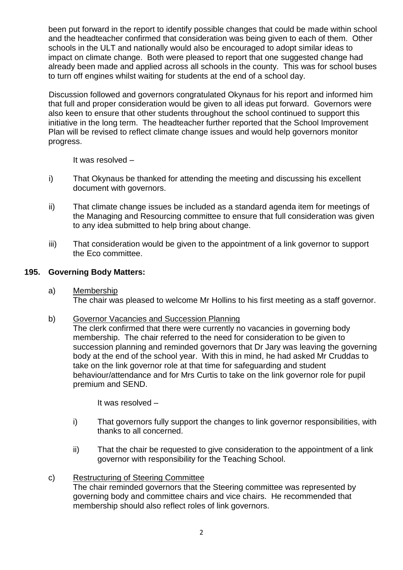been put forward in the report to identify possible changes that could be made within school and the headteacher confirmed that consideration was being given to each of them. Other schools in the ULT and nationally would also be encouraged to adopt similar ideas to impact on climate change. Both were pleased to report that one suggested change had already been made and applied across all schools in the county. This was for school buses to turn off engines whilst waiting for students at the end of a school day.

Discussion followed and governors congratulated Okynaus for his report and informed him that full and proper consideration would be given to all ideas put forward. Governors were also keen to ensure that other students throughout the school continued to support this initiative in the long term. The headteacher further reported that the School Improvement Plan will be revised to reflect climate change issues and would help governors monitor progress.

It was resolved –

- i) That Okynaus be thanked for attending the meeting and discussing his excellent document with governors.
- ii) That climate change issues be included as a standard agenda item for meetings of the Managing and Resourcing committee to ensure that full consideration was given to any idea submitted to help bring about change.
- iii) That consideration would be given to the appointment of a link governor to support the Eco committee.

## **195. Governing Body Matters:**

- a) Membership The chair was pleased to welcome Mr Hollins to his first meeting as a staff governor.
- b) Governor Vacancies and Succession Planning

The clerk confirmed that there were currently no vacancies in governing body membership. The chair referred to the need for consideration to be given to succession planning and reminded governors that Dr Jary was leaving the governing body at the end of the school year. With this in mind, he had asked Mr Cruddas to take on the link governor role at that time for safeguarding and student behaviour/attendance and for Mrs Curtis to take on the link governor role for pupil premium and SEND.

It was resolved –

- i) That governors fully support the changes to link governor responsibilities, with thanks to all concerned.
- ii) That the chair be requested to give consideration to the appointment of a link governor with responsibility for the Teaching School.

## c) Restructuring of Steering Committee

The chair reminded governors that the Steering committee was represented by governing body and committee chairs and vice chairs. He recommended that membership should also reflect roles of link governors.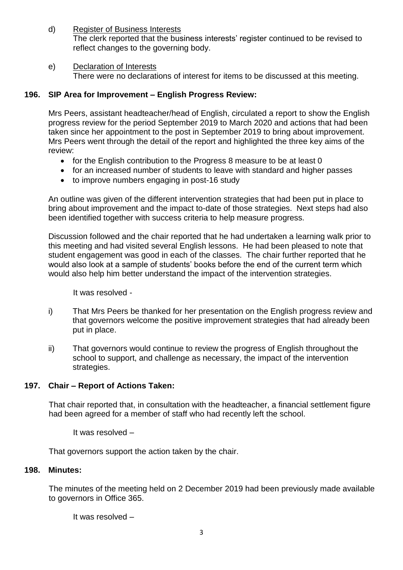d) Register of Business Interests The clerk reported that the business interests' register continued to be revised to reflect changes to the governing body.

## e) Declaration of Interests

There were no declarations of interest for items to be discussed at this meeting.

## **196. SIP Area for Improvement – English Progress Review:**

Mrs Peers, assistant headteacher/head of English, circulated a report to show the English progress review for the period September 2019 to March 2020 and actions that had been taken since her appointment to the post in September 2019 to bring about improvement. Mrs Peers went through the detail of the report and highlighted the three key aims of the review:

- for the English contribution to the Progress 8 measure to be at least 0
- for an increased number of students to leave with standard and higher passes
- to improve numbers engaging in post-16 study

An outline was given of the different intervention strategies that had been put in place to bring about improvement and the impact to-date of those strategies. Next steps had also been identified together with success criteria to help measure progress.

Discussion followed and the chair reported that he had undertaken a learning walk prior to this meeting and had visited several English lessons. He had been pleased to note that student engagement was good in each of the classes. The chair further reported that he would also look at a sample of students' books before the end of the current term which would also help him better understand the impact of the intervention strategies.

It was resolved -

- i) That Mrs Peers be thanked for her presentation on the English progress review and that governors welcome the positive improvement strategies that had already been put in place.
- ii) That governors would continue to review the progress of English throughout the school to support, and challenge as necessary, the impact of the intervention strategies.

# **197. Chair – Report of Actions Taken:**

That chair reported that, in consultation with the headteacher, a financial settlement figure had been agreed for a member of staff who had recently left the school.

It was resolved –

That governors support the action taken by the chair.

## **198. Minutes:**

The minutes of the meeting held on 2 December 2019 had been previously made available to governors in Office 365.

It was resolved –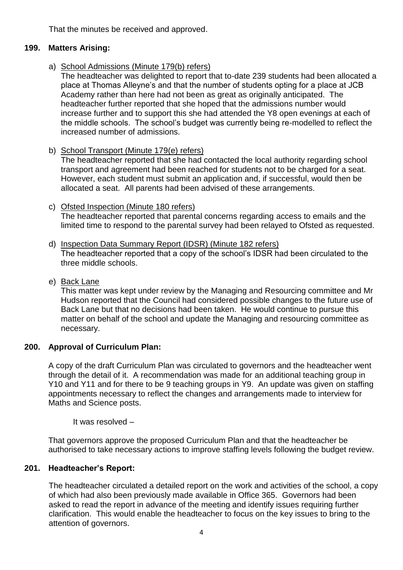That the minutes be received and approved.

# **199. Matters Arising:**

a) School Admissions (Minute 179(b) refers)

The headteacher was delighted to report that to-date 239 students had been allocated a place at Thomas Alleyne's and that the number of students opting for a place at JCB Academy rather than here had not been as great as originally anticipated. The headteacher further reported that she hoped that the admissions number would increase further and to support this she had attended the Y8 open evenings at each of the middle schools. The school's budget was currently being re-modelled to reflect the increased number of admissions.

b) School Transport (Minute 179(e) refers)

The headteacher reported that she had contacted the local authority regarding school transport and agreement had been reached for students not to be charged for a seat. However, each student must submit an application and, if successful, would then be allocated a seat. All parents had been advised of these arrangements.

# c) Ofsted Inspection (Minute 180 refers)

The headteacher reported that parental concerns regarding access to emails and the limited time to respond to the parental survey had been relayed to Ofsted as requested.

- d) Inspection Data Summary Report (IDSR) (Minute 182 refers) The headteacher reported that a copy of the school's IDSR had been circulated to the three middle schools.
- e) Back Lane

This matter was kept under review by the Managing and Resourcing committee and Mr Hudson reported that the Council had considered possible changes to the future use of Back Lane but that no decisions had been taken. He would continue to pursue this matter on behalf of the school and update the Managing and resourcing committee as necessary.

# **200. Approval of Curriculum Plan:**

A copy of the draft Curriculum Plan was circulated to governors and the headteacher went through the detail of it. A recommendation was made for an additional teaching group in Y10 and Y11 and for there to be 9 teaching groups in Y9. An update was given on staffing appointments necessary to reflect the changes and arrangements made to interview for Maths and Science posts.

It was resolved –

That governors approve the proposed Curriculum Plan and that the headteacher be authorised to take necessary actions to improve staffing levels following the budget review.

# **201. Headteacher's Report:**

The headteacher circulated a detailed report on the work and activities of the school, a copy of which had also been previously made available in Office 365. Governors had been asked to read the report in advance of the meeting and identify issues requiring further clarification. This would enable the headteacher to focus on the key issues to bring to the attention of governors.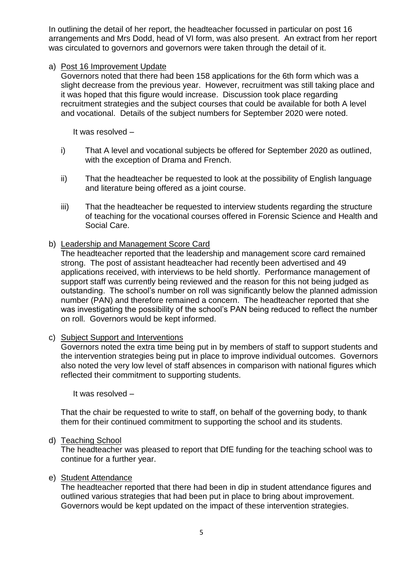In outlining the detail of her report, the headteacher focussed in particular on post 16 arrangements and Mrs Dodd, head of VI form, was also present. An extract from her report was circulated to governors and governors were taken through the detail of it.

### a) Post 16 Improvement Update

Governors noted that there had been 158 applications for the 6th form which was a slight decrease from the previous year. However, recruitment was still taking place and it was hoped that this figure would increase. Discussion took place regarding recruitment strategies and the subject courses that could be available for both A level and vocational. Details of the subject numbers for September 2020 were noted.

It was resolved –

- i) That A level and vocational subjects be offered for September 2020 as outlined, with the exception of Drama and French.
- ii) That the headteacher be requested to look at the possibility of English language and literature being offered as a joint course.
- iii) That the headteacher be requested to interview students regarding the structure of teaching for the vocational courses offered in Forensic Science and Health and Social Care.

#### b) Leadership and Management Score Card

The headteacher reported that the leadership and management score card remained strong. The post of assistant headteacher had recently been advertised and 49 applications received, with interviews to be held shortly. Performance management of support staff was currently being reviewed and the reason for this not being judged as outstanding. The school's number on roll was significantly below the planned admission number (PAN) and therefore remained a concern. The headteacher reported that she was investigating the possibility of the school's PAN being reduced to reflect the number on roll. Governors would be kept informed.

c) Subject Support and Interventions

Governors noted the extra time being put in by members of staff to support students and the intervention strategies being put in place to improve individual outcomes. Governors also noted the very low level of staff absences in comparison with national figures which reflected their commitment to supporting students.

It was resolved –

That the chair be requested to write to staff, on behalf of the governing body, to thank them for their continued commitment to supporting the school and its students.

#### d) Teaching School

The headteacher was pleased to report that DfE funding for the teaching school was to continue for a further year.

#### e) Student Attendance

The headteacher reported that there had been in dip in student attendance figures and outlined various strategies that had been put in place to bring about improvement. Governors would be kept updated on the impact of these intervention strategies.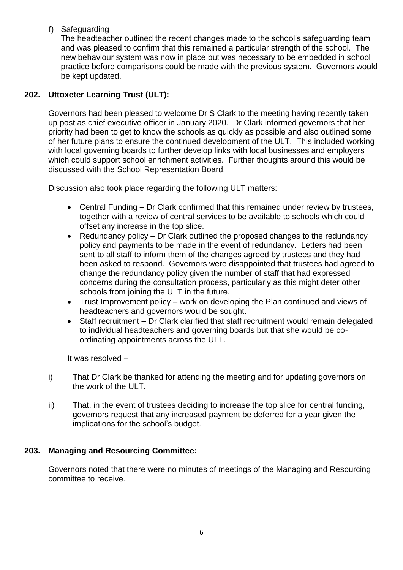## f) Safeguarding

The headteacher outlined the recent changes made to the school's safeguarding team and was pleased to confirm that this remained a particular strength of the school. The new behaviour system was now in place but was necessary to be embedded in school practice before comparisons could be made with the previous system. Governors would be kept updated.

# **202. Uttoxeter Learning Trust (ULT):**

Governors had been pleased to welcome Dr S Clark to the meeting having recently taken up post as chief executive officer in January 2020. Dr Clark informed governors that her priority had been to get to know the schools as quickly as possible and also outlined some of her future plans to ensure the continued development of the ULT. This included working with local governing boards to further develop links with local businesses and employers which could support school enrichment activities. Further thoughts around this would be discussed with the School Representation Board.

Discussion also took place regarding the following ULT matters:

- Central Funding Dr Clark confirmed that this remained under review by trustees, together with a review of central services to be available to schools which could offset any increase in the top slice.
- Redundancy policy Dr Clark outlined the proposed changes to the redundancy policy and payments to be made in the event of redundancy. Letters had been sent to all staff to inform them of the changes agreed by trustees and they had been asked to respond. Governors were disappointed that trustees had agreed to change the redundancy policy given the number of staff that had expressed concerns during the consultation process, particularly as this might deter other schools from joining the ULT in the future.
- Trust Improvement policy work on developing the Plan continued and views of headteachers and governors would be sought.
- Staff recruitment Dr Clark clarified that staff recruitment would remain delegated to individual headteachers and governing boards but that she would be coordinating appointments across the ULT.

It was resolved –

- i) That Dr Clark be thanked for attending the meeting and for updating governors on the work of the ULT.
- ii) That, in the event of trustees deciding to increase the top slice for central funding, governors request that any increased payment be deferred for a year given the implications for the school's budget.

## **203. Managing and Resourcing Committee:**

Governors noted that there were no minutes of meetings of the Managing and Resourcing committee to receive.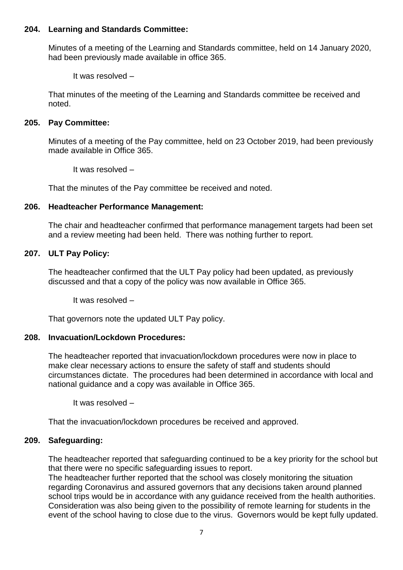#### **204. Learning and Standards Committee:**

Minutes of a meeting of the Learning and Standards committee, held on 14 January 2020, had been previously made available in office 365.

It was resolved –

That minutes of the meeting of the Learning and Standards committee be received and noted.

### **205. Pay Committee:**

Minutes of a meeting of the Pay committee, held on 23 October 2019, had been previously made available in Office 365.

It was resolved –

That the minutes of the Pay committee be received and noted.

#### **206. Headteacher Performance Management:**

The chair and headteacher confirmed that performance management targets had been set and a review meeting had been held. There was nothing further to report.

#### **207. ULT Pay Policy:**

The headteacher confirmed that the ULT Pay policy had been updated, as previously discussed and that a copy of the policy was now available in Office 365.

It was resolved –

That governors note the updated ULT Pay policy.

### **208. Invacuation/Lockdown Procedures:**

The headteacher reported that invacuation/lockdown procedures were now in place to make clear necessary actions to ensure the safety of staff and students should circumstances dictate. The procedures had been determined in accordance with local and national guidance and a copy was available in Office 365.

It was resolved –

That the invacuation/lockdown procedures be received and approved.

### **209. Safeguarding:**

The headteacher reported that safeguarding continued to be a key priority for the school but that there were no specific safeguarding issues to report.

The headteacher further reported that the school was closely monitoring the situation regarding Coronavirus and assured governors that any decisions taken around planned school trips would be in accordance with any guidance received from the health authorities. Consideration was also being given to the possibility of remote learning for students in the event of the school having to close due to the virus. Governors would be kept fully updated.